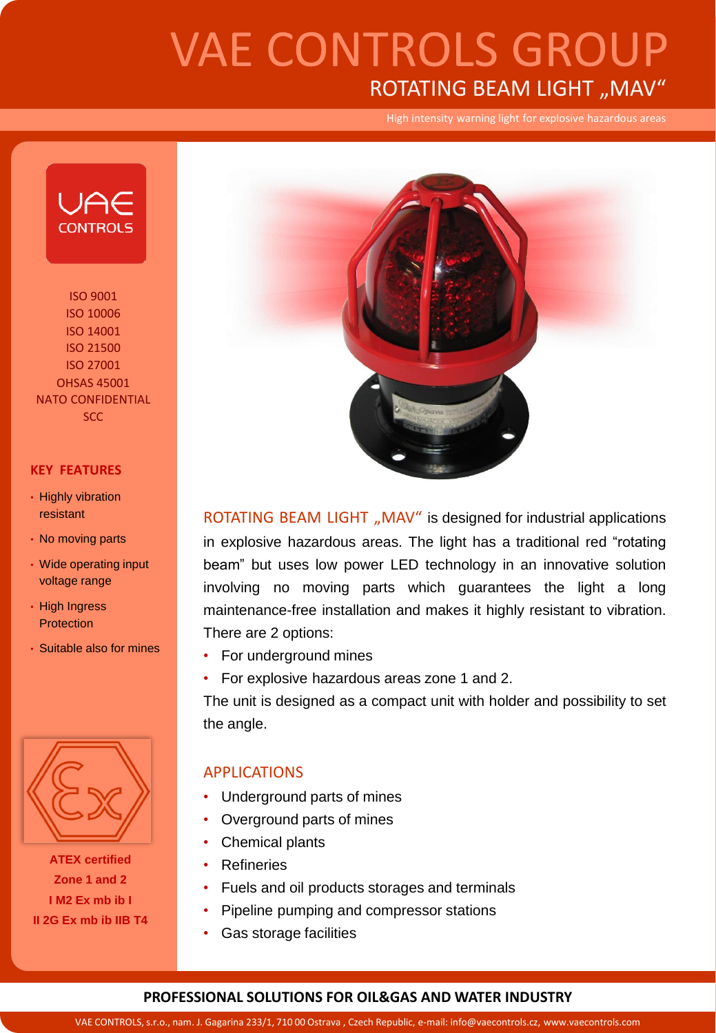## **VAE CONTROLS GROUP** ROTATING BEAM LIGHT "MAV"

High intensity warning light for explosive hazardous areas



ISO 9001 ISO 10006 ISO 14001 ISO 21500 ISO 27001 OHSAS 45001 NATO CONFIDENTIAL SCC

#### **KEY FEATURES**

- Highly vibration resistant
- No moving parts
- Wide operating input voltage range
- High Ingress **Protection**
- Suitable also for mines



**ATEX certified Zone 1 and 2 I M2 Ex mb ib I II 2G Ex mb ib IIB T4**



ROTATING BEAM LIGHT "MAV" is designed for industrial applications in explosive hazardous areas. The light has a traditional red "rotating beam" but uses low power LED technology in an innovative solution involving no moving parts which guarantees the light a long maintenance-free installation and makes it highly resistant to vibration. There are 2 options:

- For underground mines
- For explosive hazardous areas zone 1 and 2.

The unit is designed as a compact unit with holder and possibility to set the angle.

### APPLICATIONS

- Underground parts of mines
- Overground parts of mines
- Chemical plants
- **Refineries**
- Fuels and oil products storages and terminals
- Pipeline pumping and compressor stations
- Gas storage facilities

#### **PROFESSIONAL SOLUTIONS FOR OIL&GAS AND WATER INDUSTRY**